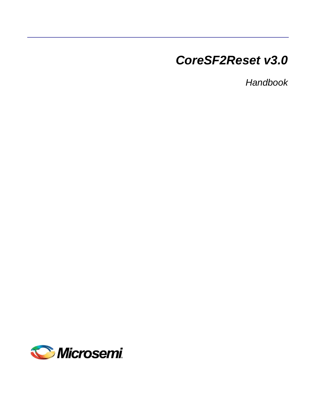# *CoreSF2Reset v3.0*

*Handbook*

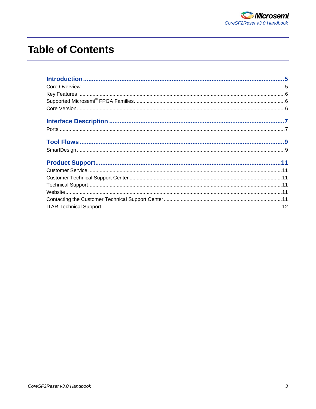## **Table of Contents**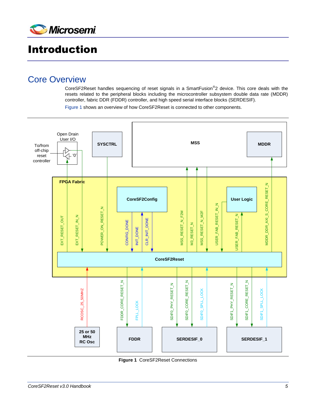

## <span id="page-4-0"></span>Introduction

## <span id="page-4-1"></span>Core Overview

CoreSF2Reset handles sequencing of reset signals in a SmartFusion®2 device. This core deals with the resets related to the peripheral blocks including the microcontroller subsystem double data rate (MDDR) controller, fabric DDR (FDDR) controller, and high speed serial interface blocks (SERDESIF).

[Figure 1](#page-4-2) shows an overview of how CoreSF2Reset is connected to other components.



<span id="page-4-2"></span>**Figure 1** CoreSF2Reset Connections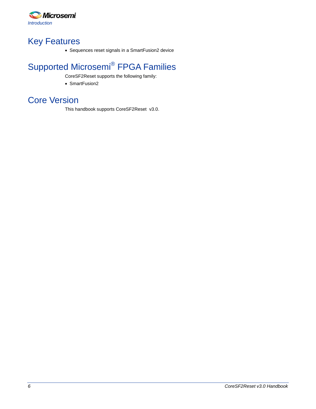

## <span id="page-5-0"></span>Key Features

Sequences reset signals in a SmartFusion2 device

## <span id="page-5-1"></span>Supported Microsemi<sup>®</sup> FPGA Families

CoreSF2Reset supports the following family:

• SmartFusion2

## <span id="page-5-2"></span>Core Version

This handbook supports CoreSF2Reset v3.0.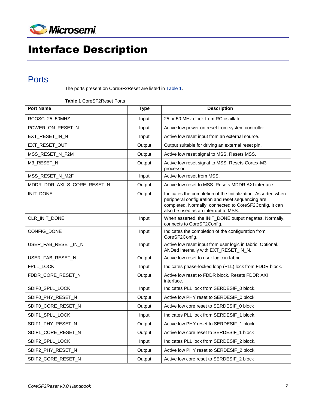

# <span id="page-6-0"></span>Interface Description

## <span id="page-6-1"></span>**Ports**

The ports present on CoreSF2Reset are listed in [Table 1.](#page-6-2)

**Table 1** CoreSF2Reset Ports

<span id="page-6-2"></span>

| <b>Port Name</b>            | <b>Type</b> | <b>Description</b>                                                                                                                                                                                                    |  |
|-----------------------------|-------------|-----------------------------------------------------------------------------------------------------------------------------------------------------------------------------------------------------------------------|--|
| RCOSC_25_50MHZ              | Input       | 25 or 50 MHz clock from RC oscillator.                                                                                                                                                                                |  |
| POWER_ON_RESET_N            | Input       | Active low power on reset from system controller.                                                                                                                                                                     |  |
| EXT_RESET_IN_N              | Input       | Active low reset input from an external source.                                                                                                                                                                       |  |
| EXT_RESET_OUT               | Output      | Output suitable for driving an external reset pin.                                                                                                                                                                    |  |
| MSS_RESET_N_F2M             | Output      | Active low reset signal to MSS. Resets MSS.                                                                                                                                                                           |  |
| M3_RESET_N                  | Output      | Active low reset signal to MSS. Resets Cortex-M3<br>processor.                                                                                                                                                        |  |
| MSS_RESET_N_M2F             | Input       | Active low reset from MSS.                                                                                                                                                                                            |  |
| MDDR_DDR_AXI_S_CORE_RESET_N | Output      | Active low reset to MSS. Resets MDDR AXI interface.                                                                                                                                                                   |  |
| INIT_DONE                   | Output      | Indicates the completion of the Initialization. Asserted when<br>peripheral configuration and reset sequencing are<br>completed. Normally, connected to CoreSF2Config. It can<br>also be used as an interrupt to MSS. |  |
| CLR_INIT_DONE               | Input       | When asserted, the INIT_DONE output negates. Normally,<br>connects to CoreSF2Config.                                                                                                                                  |  |
| CONFIG_DONE                 | Input       | Indicates the completion of the configuration from<br>CoreSF2Config.                                                                                                                                                  |  |
| USER_FAB_RESET_IN_N         | Input       | Active low reset input from user logic in fabric. Optional.<br>ANDed internally with EXT_RESET_IN_N.                                                                                                                  |  |
| USER FAB RESET N            | Output      | Active low reset to user logic in fabric                                                                                                                                                                              |  |
| FPLL_LOCK                   | Input       | Indicates phase-locked loop (PLL) lock from FDDR block.                                                                                                                                                               |  |
| FDDR_CORE_RESET_N           | Output      | Active low reset to FDDR block. Resets FDDR AXI<br>interface.                                                                                                                                                         |  |
| SDIF0_SPLL_LOCK             | Input       | Indicates PLL lock from SERDESIF_0 block.                                                                                                                                                                             |  |
| SDIF0_PHY_RESET_N           | Output      | Active low PHY reset to SERDESIF_0 block                                                                                                                                                                              |  |
| SDIF0_CORE_RESET_N          | Output      | Active low core reset to SERDESIF_0 block                                                                                                                                                                             |  |
| SDIF1_SPLL_LOCK             | Input       | Indicates PLL lock from SERDESIF_1 block.                                                                                                                                                                             |  |
| SDIF1_PHY_RESET_N           | Output      | Active low PHY reset to SERDESIF_1 block                                                                                                                                                                              |  |
| SDIF1_CORE_RESET_N          | Output      | Active low core reset to SERDESIF_1 block                                                                                                                                                                             |  |
| SDIF2_SPLL_LOCK             | Input       | Indicates PLL lock from SERDESIF_2 block.                                                                                                                                                                             |  |
| SDIF2_PHY_RESET_N           | Output      | Active low PHY reset to SERDESIF_2 block                                                                                                                                                                              |  |
| SDIF2_CORE_RESET_N          | Output      | Active low core reset to SERDESIF_2 block                                                                                                                                                                             |  |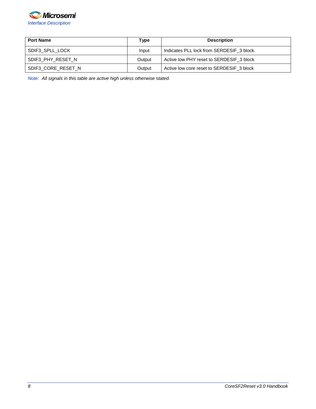

| <b>Port Name</b>   | Type                                               | <b>Description</b>                        |
|--------------------|----------------------------------------------------|-------------------------------------------|
| SDIF3 SPLL LOCK    | Indicates PLL lock from SERDESIF 3 block.<br>Input |                                           |
| SDIF3 PHY RESET N  | Active low PHY reset to SERDESIF_3 block<br>Output |                                           |
| SDIF3 CORE RESET N | Output                                             | Active low core reset to SERDESIF 3 block |

*Note: All signals in this table are active high unless otherwise stated.*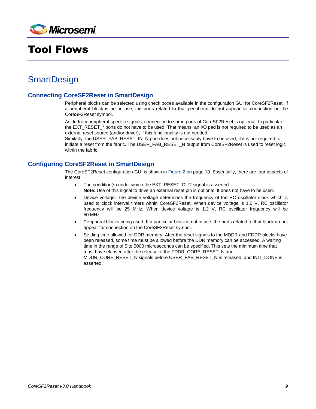

## <span id="page-8-0"></span>Tool Flows

## <span id="page-8-1"></span>**SmartDesign**

#### **Connecting CoreSF2Reset in SmartDesign**

Peripheral blocks can be selected using check boxes available in the configuration GUI for CoreSF2Reset. If a peripheral block is not in use, the ports related to that peripheral do not appear for connection on the CoreSF2Reset symbol.

Aside from peripheral specific signals, connection to some ports of CoreSF2Reset is optional. In particular, the EXT\_RESET\_\* ports do not have to be used. That means, an I/O pad is not required to be used as an external reset source (and/or driver), if this functionality is not needed.

Similarly, the USER\_FAB\_RESET\_IN\_N port does not necessarily have to be used, if it is not required to initiate a reset from the fabric. The USER\_FAB\_RESET\_N output from CoreSF2Reset is used to reset logic within the fabric.

#### **Configuring CoreSF2Reset in SmartDesign**

The CoreSF2Reset configuration GUI is shown in [Figure 2](#page-9-0) on page 10. Essentially, there are four aspects of interest:

- The condition(s) under which the EXT\_RESET\_OUT signal is asserted. **Note:** Use of this signal to drive an external reset pin is optional. It does not have to be used.
- Device voltage. The device voltage determines the frequency of the RC oscillator clock which is used to clock interval timers within CoreSF2Reset. When device voltage is 1.0 V, RC oscillator frequency will be 25 MHz. When device voltage is 1.2 V, RC oscillator frequency will be 50 MHz.
- Peripheral blocks being used. If a particular block is not in use, the ports related to that block do not appear for connection on the CoreSF2Reset symbol.
- Settling time allowed for DDR memory. After the reset signals to the MDDR and FDDR blocks have been released, some time must be allowed before the DDR memory can be accessed. A waiting time in the range of 5 to 5000 microseconds can be specified. This sets the minimum time that must have elapsed after the release of the FDDR\_CORE\_RESET\_N and MDDR\_CORE\_RESET\_N signals before USER\_FAB\_RESET\_N is released, and INIT\_DONE is asserted.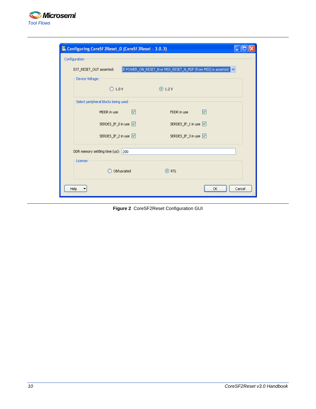

| Configuring CoreSF2Reset_0 (CoreSF2Reset - 3.0.3)                                        |            |                      |              |  |  |  |
|------------------------------------------------------------------------------------------|------------|----------------------|--------------|--|--|--|
| Configuration                                                                            |            |                      |              |  |  |  |
| If POWER_ON_RESET_N or MSS_RESET_N_M2F (from MSS) is asserted<br>EXT_RESET_OUT asserted: |            |                      |              |  |  |  |
| Device Voltage:                                                                          |            |                      |              |  |  |  |
| $\bigcirc$ 1.0 V                                                                         |            | $\odot$ 1.2 V        |              |  |  |  |
| Select peripheral blocks being used                                                      |            |                      |              |  |  |  |
| MDDR in use                                                                              | ☑          | FDDR in use          | ☑            |  |  |  |
| SERDES_IF_0 in use V                                                                     |            | SERDES_IF_1 in use V |              |  |  |  |
| SERDES_IF_2 in use Ø                                                                     |            | SERDES_IF_3 in use Ø |              |  |  |  |
| DDR memory settling time (us): 200                                                       |            |                      |              |  |  |  |
| License:                                                                                 |            |                      |              |  |  |  |
|                                                                                          | Obfuscated | $\odot$ RTL          |              |  |  |  |
| Help                                                                                     |            |                      | Cancel<br>OK |  |  |  |

<span id="page-9-0"></span>**Figure 2** CoreSF2Reset Configuration GUI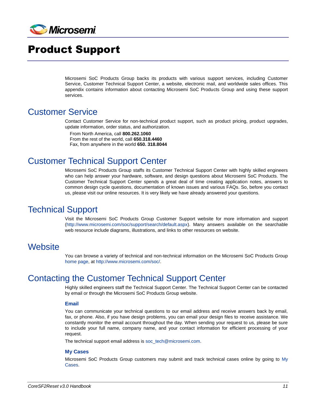

## <span id="page-10-0"></span>Product Support

Microsemi SoC Products Group backs its products with various support services, including Customer Service, Customer Technical Support Center, a website, electronic mail, and worldwide sales offices. This appendix contains information about contacting Microsemi SoC Products Group and using these support services.

### <span id="page-10-1"></span>Customer Service

Contact Customer Service for non-technical product support, such as product pricing, product upgrades, update information, order status, and authorization.

From North America, call **800.262.1060** From the rest of the world, call **650.318.4460** Fax, from anywhere in the world **650. 318.8044**

## <span id="page-10-2"></span>Customer Technical Support Center

Microsemi SoC Products Group staffs its Customer Technical Support Center with highly skilled engineers who can help answer your hardware, software, and design questions about Microsemi SoC Products. The Customer Technical Support Center spends a great deal of time creating application notes, answers to common design cycle questions, documentation of known issues and various FAQs. So, before you contact us, please visit our online resources. It is very likely we have already answered your questions.

### <span id="page-10-3"></span>Technical Support

Visit the Microsemi SoC Products Group Customer Support website for more information and support [\(http://www.microsemi.com/soc/support/search/default.aspx\)](http://www.microsemi.com/soc/support/search/default.aspx). Many answers available on the searchable web resource include diagrams, illustrations, and links to other resources on website.

### <span id="page-10-4"></span>**Website**

You can browse a variety of technical and non-technical information on the Microsemi SoC Products Group [home page,](http://www.microsemi.com/soc) at [http://www.microsemi.com/soc/.](http://www.microsemi.com/soc/)

### <span id="page-10-5"></span>Contacting the Customer Technical Support Center

Highly skilled engineers staff the Technical Support Center. The Technical Support Center can be contacted by email or through the Microsemi SoC Products Group website.

#### **Email**

You can communicate your technical questions to our email address and receive answers back by email, fax, or phone. Also, if you have design problems, you can email your design files to receive assistance. We constantly monitor the email account throughout the day. When sending your request to us, please be sure to include your full name, company name, and your contact information for efficient processing of your request.

The technical support email address is [soc\\_tech@microsemi.com.](file:///C:/Documents%20and%20Settings/alim/Local%20Settings/Temporary%20Internet%20Files/Content.Outlook/BPCDM203/soc_tech@microsemi.com)

#### **My Cases**

Microsemi SoC Products Group customers may submit and track technical cases online by going to [My](http://www.microsemi.com/soc/mycases/)  [Cases.](http://www.microsemi.com/soc/mycases/)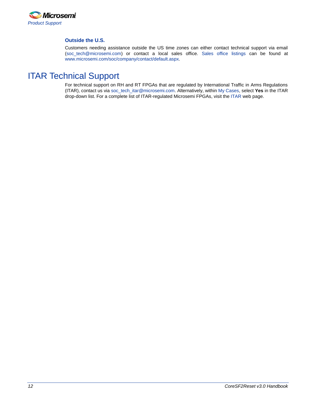

#### **Outside the U.S.**

Customers needing assistance outside the US time zones can either contact technical support via email (soc[\\_tech@microsemi.com\)](mailto:tech@microsemi.com) or contact a local sales office. [Sales office listings](http://www.microsemi.com/soc/company/contact/default.aspx) can be found a[t](http://www.microsemi.com/soc/company/contact/default.aspx) [www.microsemi.com/soc/company/contact/default.aspx.](http://www.microsemi.com/soc/company/contact/default.aspx)

### <span id="page-11-0"></span>[ITAR Technical Support](http://www.microsemi.com/soc/company/contact/default.aspx#itartechsupport)

For technical support on RH and RT FPGAs that are regulated by International Traffic in Arms Regulations (ITAR), contact us via [soc\\_tech\\_itar@microsemi.com.](mailto:soc_tech_itar@microsemi.com) Alternatively, within [My Cases,](http://www.microsemi.com/mycases/) select **Yes** in the ITAR drop-down list. For a complete list of ITAR-regulated Microsemi FPGAs, visit the [ITAR](http://www.microsemi.com/soc/ITAR/) web page.